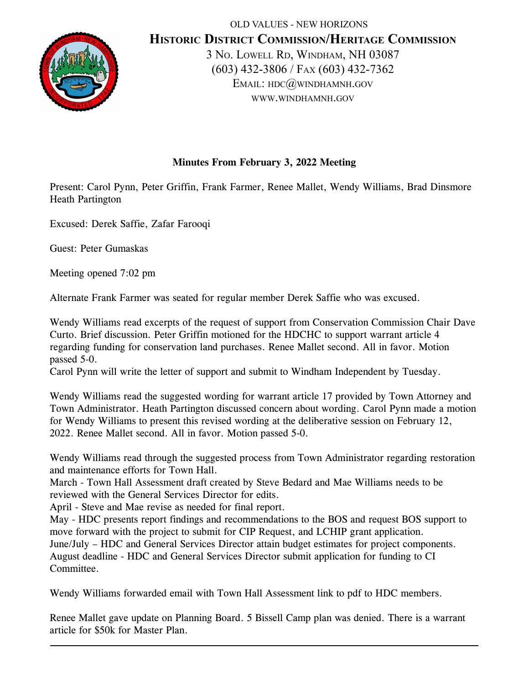

OLD VALUES - NEW HORIZONS **HISTORIC DISTRICT COMMISSION/HERITAGE COMMISSION** 3 NO. LOWELL RD, WINDHAM, NH 03087 (603) 432-3806 / FAX (603) 432-7362 EMAIL: HDC@WINDHAMNH.GOV WWW.WINDHAMNH.GOV

## **Minutes From February 3, 2022 Meeting**

Present: Carol Pynn, Peter Griffin, Frank Farmer, Renee Mallet, Wendy Williams, Brad Dinsmore Heath Partington

Excused: Derek Saffie, Zafar Farooqi

Guest: Peter Gumaskas

Meeting opened 7:02 pm

Alternate Frank Farmer was seated for regular member Derek Saffie who was excused.

Wendy Williams read excerpts of the request of support from Conservation Commission Chair Dave Curto. Brief discussion. Peter Griffin motioned for the HDCHC to support warrant article 4 regarding funding for conservation land purchases. Renee Mallet second. All in favor. Motion passed 5-0.

Carol Pynn will write the letter of support and submit to Windham Independent by Tuesday.

Wendy Williams read the suggested wording for warrant article 17 provided by Town Attorney and Town Administrator. Heath Partington discussed concern about wording. Carol Pynn made a motion for Wendy Williams to present this revised wording at the deliberative session on February 12, 2022. Renee Mallet second. All in favor. Motion passed 5-0.

Wendy Williams read through the suggested process from Town Administrator regarding restoration and maintenance efforts for Town Hall.

March - Town Hall Assessment draft created by Steve Bedard and Mae Williams needs to be reviewed with the General Services Director for edits.

April - Steve and Mae revise as needed for final report.

May - HDC presents report findings and recommendations to the BOS and request BOS support to move forward with the project to submit for CIP Request, and LCHIP grant application. June/July – HDC and General Services Director attain budget estimates for project components. August deadline - HDC and General Services Director submit application for funding to CI Committee.

Wendy Williams forwarded email with Town Hall Assessment link to pdf to HDC members.

Renee Mallet gave update on Planning Board. 5 Bissell Camp plan was denied. There is a warrant article for \$50k for Master Plan.